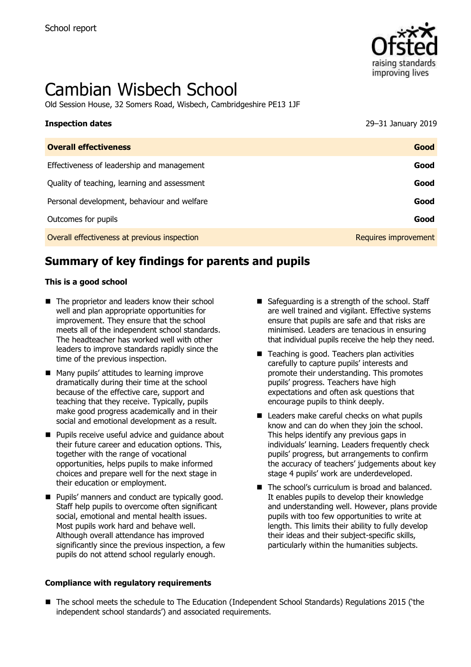

# Cambian Wisbech School

Old Session House, 32 Somers Road, Wisbech, Cambridgeshire PE13 1JF

| <b>Inspection dates</b>                      | 29-31 January 2019   |
|----------------------------------------------|----------------------|
| <b>Overall effectiveness</b>                 | Good                 |
| Effectiveness of leadership and management   | Good                 |
| Quality of teaching, learning and assessment | Good                 |
| Personal development, behaviour and welfare  | Good                 |
| Outcomes for pupils                          | Good                 |
| Overall effectiveness at previous inspection | Requires improvement |

# **Summary of key findings for parents and pupils**

#### **This is a good school**

- The proprietor and leaders know their school well and plan appropriate opportunities for improvement. They ensure that the school meets all of the independent school standards. The headteacher has worked well with other leaders to improve standards rapidly since the time of the previous inspection.
- Many pupils' attitudes to learning improve dramatically during their time at the school because of the effective care, support and teaching that they receive. Typically, pupils make good progress academically and in their social and emotional development as a result.
- **Pupils receive useful advice and quidance about** their future career and education options. This, together with the range of vocational opportunities, helps pupils to make informed choices and prepare well for the next stage in their education or employment.
- **Pupils' manners and conduct are typically good.** Staff help pupils to overcome often significant social, emotional and mental health issues. Most pupils work hard and behave well. Although overall attendance has improved significantly since the previous inspection, a few pupils do not attend school regularly enough.

#### **Compliance with regulatory requirements**

- Safeguarding is a strength of the school. Staff are well trained and vigilant. Effective systems ensure that pupils are safe and that risks are minimised. Leaders are tenacious in ensuring that individual pupils receive the help they need.
- Teaching is good. Teachers plan activities carefully to capture pupils' interests and promote their understanding. This promotes pupils' progress. Teachers have high expectations and often ask questions that encourage pupils to think deeply.
- Leaders make careful checks on what pupils know and can do when they join the school. This helps identify any previous gaps in individuals' learning. Leaders frequently check pupils' progress, but arrangements to confirm the accuracy of teachers' judgements about key stage 4 pupils' work are underdeveloped.
- The school's curriculum is broad and balanced. It enables pupils to develop their knowledge and understanding well. However, plans provide pupils with too few opportunities to write at length. This limits their ability to fully develop their ideas and their subject-specific skills, particularly within the humanities subjects.
- The school meets the schedule to The Education (Independent School Standards) Regulations 2015 ('the independent school standards') and associated requirements.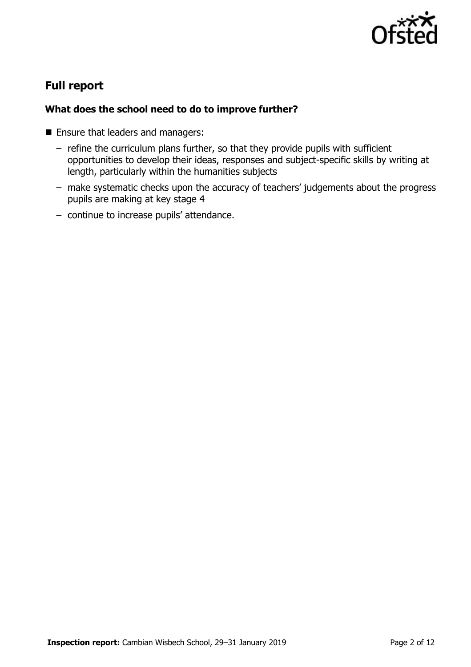

# **Full report**

### **What does the school need to do to improve further?**

- Ensure that leaders and managers:
	- refine the curriculum plans further, so that they provide pupils with sufficient opportunities to develop their ideas, responses and subject-specific skills by writing at length, particularly within the humanities subjects
	- make systematic checks upon the accuracy of teachers' judgements about the progress pupils are making at key stage 4
	- continue to increase pupils' attendance.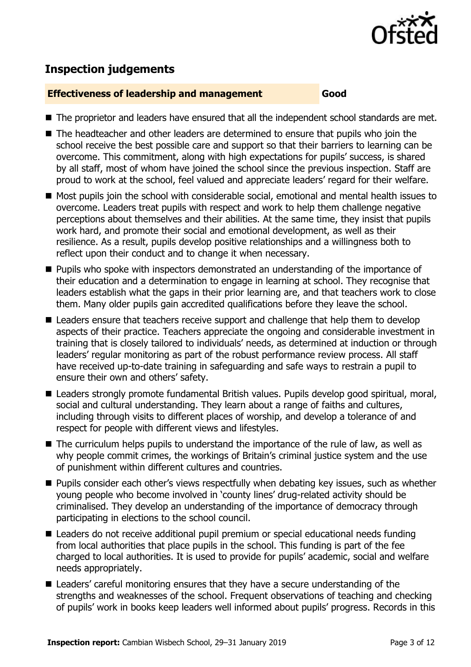

# **Inspection judgements**

#### **Effectiveness of leadership and management Good**

- The proprietor and leaders have ensured that all the independent school standards are met.
- The headteacher and other leaders are determined to ensure that pupils who join the school receive the best possible care and support so that their barriers to learning can be overcome. This commitment, along with high expectations for pupils' success, is shared by all staff, most of whom have joined the school since the previous inspection. Staff are proud to work at the school, feel valued and appreciate leaders' regard for their welfare.
- Most pupils join the school with considerable social, emotional and mental health issues to overcome. Leaders treat pupils with respect and work to help them challenge negative perceptions about themselves and their abilities. At the same time, they insist that pupils work hard, and promote their social and emotional development, as well as their resilience. As a result, pupils develop positive relationships and a willingness both to reflect upon their conduct and to change it when necessary.
- **Pupils who spoke with inspectors demonstrated an understanding of the importance of** their education and a determination to engage in learning at school. They recognise that leaders establish what the gaps in their prior learning are, and that teachers work to close them. Many older pupils gain accredited qualifications before they leave the school.
- Leaders ensure that teachers receive support and challenge that help them to develop aspects of their practice. Teachers appreciate the ongoing and considerable investment in training that is closely tailored to individuals' needs, as determined at induction or through leaders' regular monitoring as part of the robust performance review process. All staff have received up-to-date training in safeguarding and safe ways to restrain a pupil to ensure their own and others' safety.
- Leaders strongly promote fundamental British values. Pupils develop good spiritual, moral, social and cultural understanding. They learn about a range of faiths and cultures, including through visits to different places of worship, and develop a tolerance of and respect for people with different views and lifestyles.
- The curriculum helps pupils to understand the importance of the rule of law, as well as why people commit crimes, the workings of Britain's criminal justice system and the use of punishment within different cultures and countries.
- **Pupils consider each other's views respectfully when debating key issues, such as whether** young people who become involved in 'county lines' drug-related activity should be criminalised. They develop an understanding of the importance of democracy through participating in elections to the school council.
- Leaders do not receive additional pupil premium or special educational needs funding from local authorities that place pupils in the school. This funding is part of the fee charged to local authorities. It is used to provide for pupils' academic, social and welfare needs appropriately.
- Leaders' careful monitoring ensures that they have a secure understanding of the strengths and weaknesses of the school. Frequent observations of teaching and checking of pupils' work in books keep leaders well informed about pupils' progress. Records in this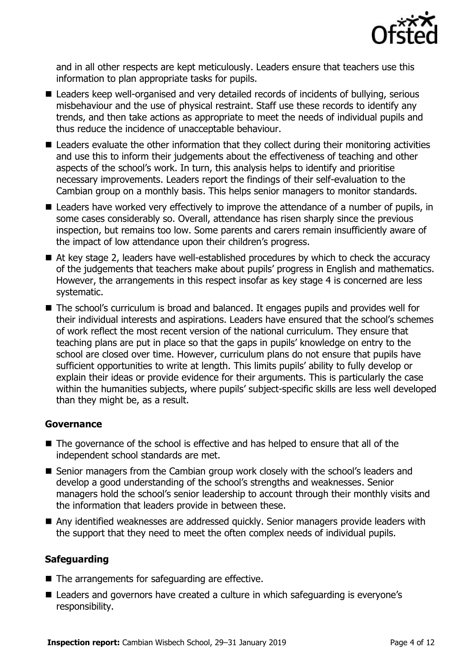

and in all other respects are kept meticulously. Leaders ensure that teachers use this information to plan appropriate tasks for pupils.

- Leaders keep well-organised and very detailed records of incidents of bullying, serious misbehaviour and the use of physical restraint. Staff use these records to identify any trends, and then take actions as appropriate to meet the needs of individual pupils and thus reduce the incidence of unacceptable behaviour.
- Leaders evaluate the other information that they collect during their monitoring activities and use this to inform their judgements about the effectiveness of teaching and other aspects of the school's work. In turn, this analysis helps to identify and prioritise necessary improvements. Leaders report the findings of their self-evaluation to the Cambian group on a monthly basis. This helps senior managers to monitor standards.
- Leaders have worked very effectively to improve the attendance of a number of pupils, in some cases considerably so. Overall, attendance has risen sharply since the previous inspection, but remains too low. Some parents and carers remain insufficiently aware of the impact of low attendance upon their children's progress.
- At key stage 2, leaders have well-established procedures by which to check the accuracy of the judgements that teachers make about pupils' progress in English and mathematics. However, the arrangements in this respect insofar as key stage 4 is concerned are less systematic.
- The school's curriculum is broad and balanced. It engages pupils and provides well for their individual interests and aspirations. Leaders have ensured that the school's schemes of work reflect the most recent version of the national curriculum. They ensure that teaching plans are put in place so that the gaps in pupils' knowledge on entry to the school are closed over time. However, curriculum plans do not ensure that pupils have sufficient opportunities to write at length. This limits pupils' ability to fully develop or explain their ideas or provide evidence for their arguments. This is particularly the case within the humanities subjects, where pupils' subject-specific skills are less well developed than they might be, as a result.

#### **Governance**

- The governance of the school is effective and has helped to ensure that all of the independent school standards are met.
- Senior managers from the Cambian group work closely with the school's leaders and develop a good understanding of the school's strengths and weaknesses. Senior managers hold the school's senior leadership to account through their monthly visits and the information that leaders provide in between these.
- Any identified weaknesses are addressed quickly. Senior managers provide leaders with the support that they need to meet the often complex needs of individual pupils.

#### **Safeguarding**

- $\blacksquare$  The arrangements for safeguarding are effective.
- Leaders and governors have created a culture in which safeguarding is everyone's responsibility.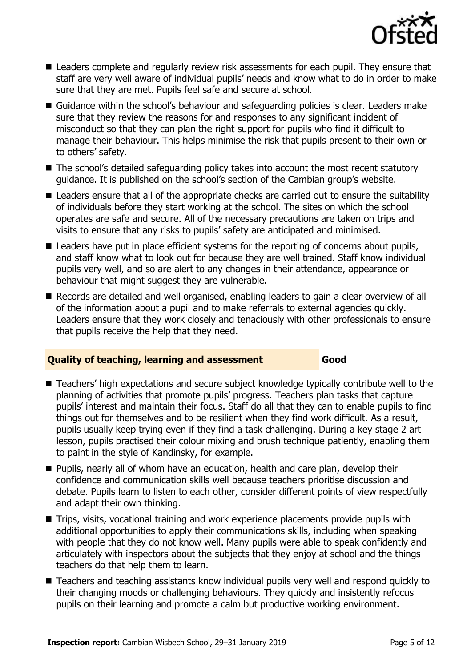

- **Leaders complete and regularly review risk assessments for each pupil. They ensure that** staff are very well aware of individual pupils' needs and know what to do in order to make sure that they are met. Pupils feel safe and secure at school.
- Guidance within the school's behaviour and safeguarding policies is clear. Leaders make sure that they review the reasons for and responses to any significant incident of misconduct so that they can plan the right support for pupils who find it difficult to manage their behaviour. This helps minimise the risk that pupils present to their own or to others' safety.
- The school's detailed safeguarding policy takes into account the most recent statutory guidance. It is published on the school's section of the Cambian group's website.
- Leaders ensure that all of the appropriate checks are carried out to ensure the suitability of individuals before they start working at the school. The sites on which the school operates are safe and secure. All of the necessary precautions are taken on trips and visits to ensure that any risks to pupils' safety are anticipated and minimised.
- Leaders have put in place efficient systems for the reporting of concerns about pupils, and staff know what to look out for because they are well trained. Staff know individual pupils very well, and so are alert to any changes in their attendance, appearance or behaviour that might suggest they are vulnerable.
- Records are detailed and well organised, enabling leaders to gain a clear overview of all of the information about a pupil and to make referrals to external agencies quickly. Leaders ensure that they work closely and tenaciously with other professionals to ensure that pupils receive the help that they need.

#### **Quality of teaching, learning and assessment Good**

- Teachers' high expectations and secure subject knowledge typically contribute well to the planning of activities that promote pupils' progress. Teachers plan tasks that capture pupils' interest and maintain their focus. Staff do all that they can to enable pupils to find things out for themselves and to be resilient when they find work difficult. As a result, pupils usually keep trying even if they find a task challenging. During a key stage 2 art lesson, pupils practised their colour mixing and brush technique patiently, enabling them to paint in the style of Kandinsky, for example.
- **Pupils, nearly all of whom have an education, health and care plan, develop their** confidence and communication skills well because teachers prioritise discussion and debate. Pupils learn to listen to each other, consider different points of view respectfully and adapt their own thinking.
- Trips, visits, vocational training and work experience placements provide pupils with additional opportunities to apply their communications skills, including when speaking with people that they do not know well. Many pupils were able to speak confidently and articulately with inspectors about the subjects that they enjoy at school and the things teachers do that help them to learn.
- Teachers and teaching assistants know individual pupils very well and respond quickly to their changing moods or challenging behaviours. They quickly and insistently refocus pupils on their learning and promote a calm but productive working environment.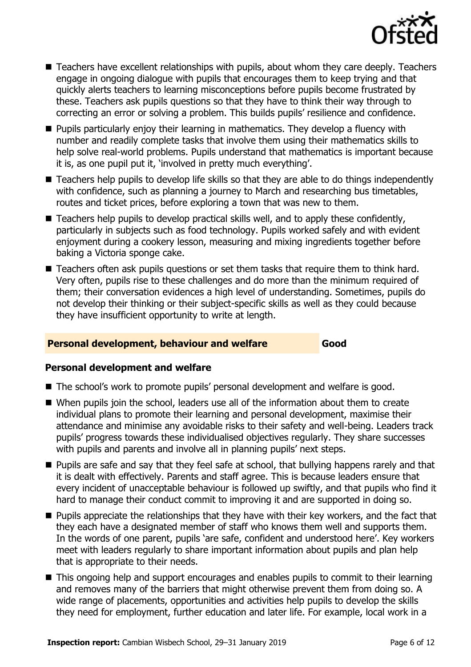

- Teachers have excellent relationships with pupils, about whom they care deeply. Teachers engage in ongoing dialogue with pupils that encourages them to keep trying and that quickly alerts teachers to learning misconceptions before pupils become frustrated by these. Teachers ask pupils questions so that they have to think their way through to correcting an error or solving a problem. This builds pupils' resilience and confidence.
- **Pupils particularly enjoy their learning in mathematics. They develop a fluency with** number and readily complete tasks that involve them using their mathematics skills to help solve real-world problems. Pupils understand that mathematics is important because it is, as one pupil put it, 'involved in pretty much everything'.
- Teachers help pupils to develop life skills so that they are able to do things independently with confidence, such as planning a journey to March and researching bus timetables, routes and ticket prices, before exploring a town that was new to them.
- Teachers help pupils to develop practical skills well, and to apply these confidently, particularly in subjects such as food technology. Pupils worked safely and with evident enjoyment during a cookery lesson, measuring and mixing ingredients together before baking a Victoria sponge cake.
- Teachers often ask pupils questions or set them tasks that require them to think hard. Very often, pupils rise to these challenges and do more than the minimum required of them; their conversation evidences a high level of understanding. Sometimes, pupils do not develop their thinking or their subject-specific skills as well as they could because they have insufficient opportunity to write at length.

#### **Personal development, behaviour and welfare Good**

#### **Personal development and welfare**

- The school's work to promote pupils' personal development and welfare is good.
- When pupils join the school, leaders use all of the information about them to create individual plans to promote their learning and personal development, maximise their attendance and minimise any avoidable risks to their safety and well-being. Leaders track pupils' progress towards these individualised objectives regularly. They share successes with pupils and parents and involve all in planning pupils' next steps.
- **Pupils are safe and say that they feel safe at school, that bullying happens rarely and that** it is dealt with effectively. Parents and staff agree. This is because leaders ensure that every incident of unacceptable behaviour is followed up swiftly, and that pupils who find it hard to manage their conduct commit to improving it and are supported in doing so.
- **Pupils appreciate the relationships that they have with their key workers, and the fact that** they each have a designated member of staff who knows them well and supports them. In the words of one parent, pupils 'are safe, confident and understood here'. Key workers meet with leaders regularly to share important information about pupils and plan help that is appropriate to their needs.
- This ongoing help and support encourages and enables pupils to commit to their learning and removes many of the barriers that might otherwise prevent them from doing so. A wide range of placements, opportunities and activities help pupils to develop the skills they need for employment, further education and later life. For example, local work in a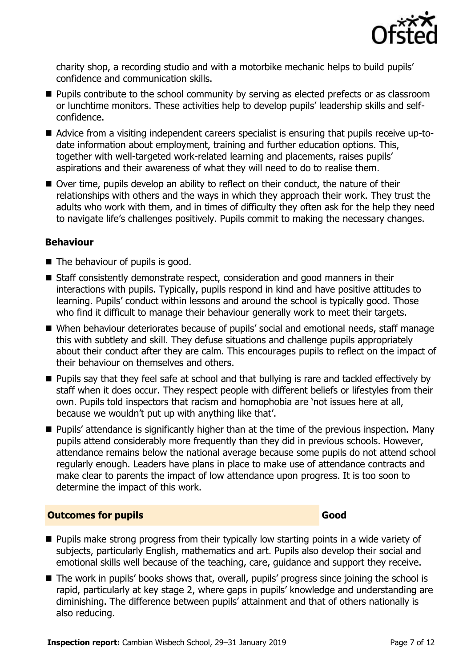

charity shop, a recording studio and with a motorbike mechanic helps to build pupils' confidence and communication skills.

- **Pupils contribute to the school community by serving as elected prefects or as classroom** or lunchtime monitors. These activities help to develop pupils' leadership skills and selfconfidence.
- Advice from a visiting independent careers specialist is ensuring that pupils receive up-todate information about employment, training and further education options. This, together with well-targeted work-related learning and placements, raises pupils' aspirations and their awareness of what they will need to do to realise them.
- Over time, pupils develop an ability to reflect on their conduct, the nature of their relationships with others and the ways in which they approach their work. They trust the adults who work with them, and in times of difficulty they often ask for the help they need to navigate life's challenges positively. Pupils commit to making the necessary changes.

#### **Behaviour**

- The behaviour of pupils is good.
- Staff consistently demonstrate respect, consideration and good manners in their interactions with pupils. Typically, pupils respond in kind and have positive attitudes to learning. Pupils' conduct within lessons and around the school is typically good. Those who find it difficult to manage their behaviour generally work to meet their targets.
- When behaviour deteriorates because of pupils' social and emotional needs, staff manage this with subtlety and skill. They defuse situations and challenge pupils appropriately about their conduct after they are calm. This encourages pupils to reflect on the impact of their behaviour on themselves and others.
- **Pupils say that they feel safe at school and that bullying is rare and tackled effectively by** staff when it does occur. They respect people with different beliefs or lifestyles from their own. Pupils told inspectors that racism and homophobia are 'not issues here at all, because we wouldn't put up with anything like that'.
- **Pupils' attendance is significantly higher than at the time of the previous inspection. Many** pupils attend considerably more frequently than they did in previous schools. However, attendance remains below the national average because some pupils do not attend school regularly enough. Leaders have plans in place to make use of attendance contracts and make clear to parents the impact of low attendance upon progress. It is too soon to determine the impact of this work.

#### **Outcomes for pupils Good Good**

- **Pupils make strong progress from their typically low starting points in a wide variety of** subjects, particularly English, mathematics and art. Pupils also develop their social and emotional skills well because of the teaching, care, guidance and support they receive.
- The work in pupils' books shows that, overall, pupils' progress since joining the school is rapid, particularly at key stage 2, where gaps in pupils' knowledge and understanding are diminishing. The difference between pupils' attainment and that of others nationally is also reducing.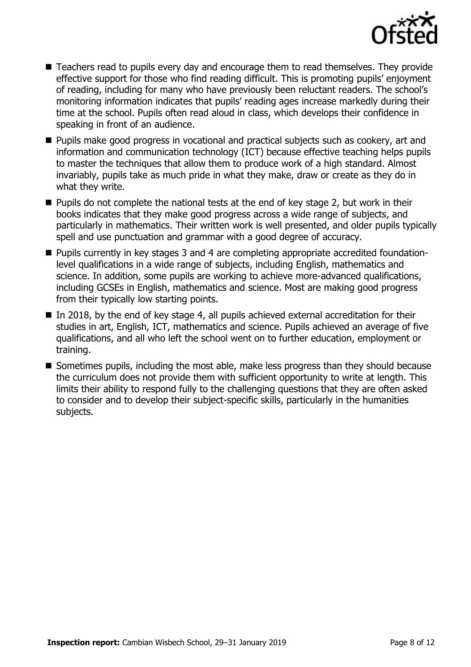

- Teachers read to pupils every day and encourage them to read themselves. They provide effective support for those who find reading difficult. This is promoting pupils' enjoyment of reading, including for many who have previously been reluctant readers. The school's monitoring information indicates that pupils' reading ages increase markedly during their time at the school. Pupils often read aloud in class, which develops their confidence in speaking in front of an audience.
- **Pupils make good progress in vocational and practical subjects such as cookery, art and** information and communication technology (ICT) because effective teaching helps pupils to master the techniques that allow them to produce work of a high standard. Almost invariably, pupils take as much pride in what they make, draw or create as they do in what they write.
- $\blacksquare$  Pupils do not complete the national tests at the end of key stage 2, but work in their books indicates that they make good progress across a wide range of subjects, and particularly in mathematics. Their written work is well presented, and older pupils typically spell and use punctuation and grammar with a good degree of accuracy.
- Pupils currently in key stages 3 and 4 are completing appropriate accredited foundationlevel qualifications in a wide range of subjects, including English, mathematics and science. In addition, some pupils are working to achieve more-advanced qualifications, including GCSEs in English, mathematics and science. Most are making good progress from their typically low starting points.
- In 2018, by the end of key stage 4, all pupils achieved external accreditation for their studies in art, English, ICT, mathematics and science. Pupils achieved an average of five qualifications, and all who left the school went on to further education, employment or training.
- Sometimes pupils, including the most able, make less progress than they should because the curriculum does not provide them with sufficient opportunity to write at length. This limits their ability to respond fully to the challenging questions that they are often asked to consider and to develop their subject-specific skills, particularly in the humanities subjects.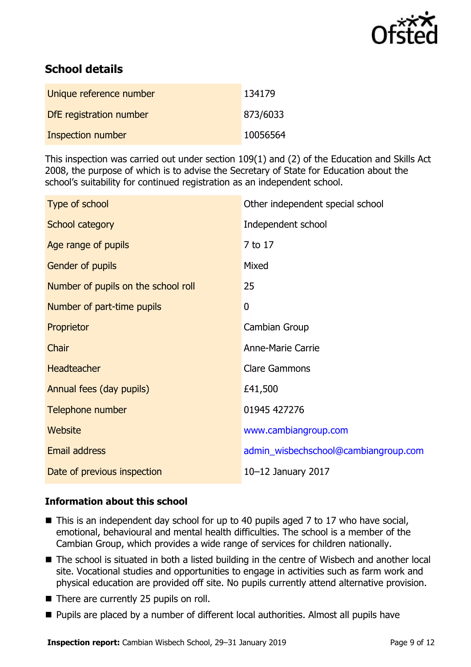

# **School details**

| Unique reference number  | 134179   |
|--------------------------|----------|
| DfE registration number  | 873/6033 |
| <b>Inspection number</b> | 10056564 |

This inspection was carried out under section 109(1) and (2) of the Education and Skills Act 2008, the purpose of which is to advise the Secretary of State for Education about the school's suitability for continued registration as an independent school.

| Type of school                      | Other independent special school     |
|-------------------------------------|--------------------------------------|
| School category                     | Independent school                   |
| Age range of pupils                 | 7 to 17                              |
| Gender of pupils                    | Mixed                                |
| Number of pupils on the school roll | 25                                   |
| Number of part-time pupils          | $\mathbf 0$                          |
| Proprietor                          | Cambian Group                        |
| Chair                               | <b>Anne-Marie Carrie</b>             |
| <b>Headteacher</b>                  | <b>Clare Gammons</b>                 |
| Annual fees (day pupils)            | £41,500                              |
| Telephone number                    | 01945 427276                         |
| Website                             | www.cambiangroup.com                 |
| <b>Email address</b>                | admin_wisbechschool@cambiangroup.com |
| Date of previous inspection         | 10-12 January 2017                   |

#### **Information about this school**

- This is an independent day school for up to 40 pupils aged 7 to 17 who have social, emotional, behavioural and mental health difficulties. The school is a member of the Cambian Group, which provides a wide range of services for children nationally.
- The school is situated in both a listed building in the centre of Wisbech and another local site. Vocational studies and opportunities to engage in activities such as farm work and physical education are provided off site. No pupils currently attend alternative provision.
- There are currently 25 pupils on roll.
- Pupils are placed by a number of different local authorities. Almost all pupils have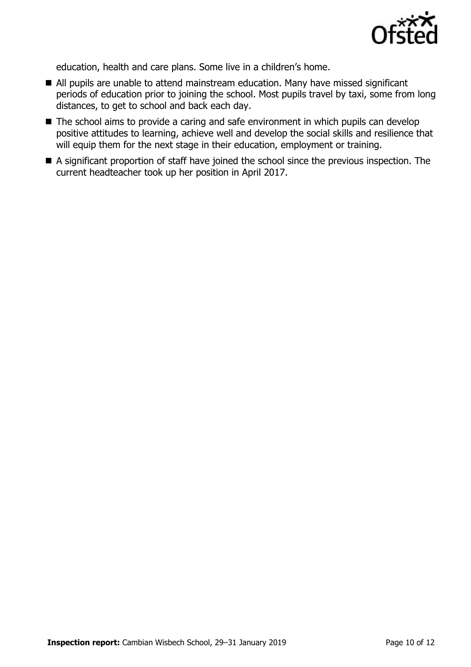

education, health and care plans. Some live in a children's home.

- All pupils are unable to attend mainstream education. Many have missed significant periods of education prior to joining the school. Most pupils travel by taxi, some from long distances, to get to school and back each day.
- The school aims to provide a caring and safe environment in which pupils can develop positive attitudes to learning, achieve well and develop the social skills and resilience that will equip them for the next stage in their education, employment or training.
- A significant proportion of staff have joined the school since the previous inspection. The current headteacher took up her position in April 2017.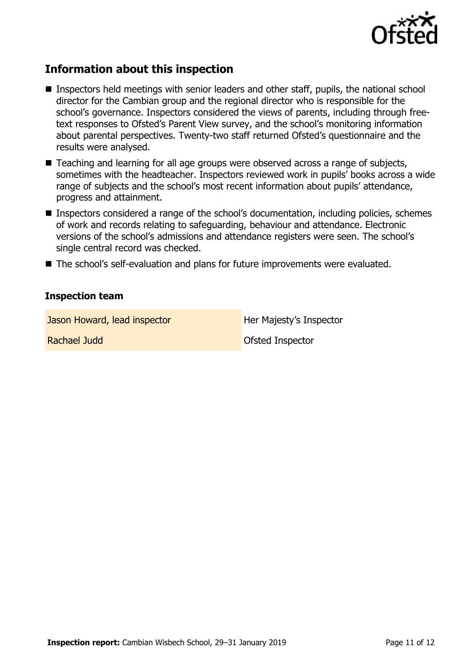

# **Information about this inspection**

- **Inspectors held meetings with senior leaders and other staff, pupils, the national school** director for the Cambian group and the regional director who is responsible for the school's governance. Inspectors considered the views of parents, including through freetext responses to Ofsted's Parent View survey, and the school's monitoring information about parental perspectives. Twenty-two staff returned Ofsted's questionnaire and the results were analysed.
- Teaching and learning for all age groups were observed across a range of subjects, sometimes with the headteacher. Inspectors reviewed work in pupils' books across a wide range of subjects and the school's most recent information about pupils' attendance, progress and attainment.
- **Inspectors considered a range of the school's documentation, including policies, schemes** of work and records relating to safeguarding, behaviour and attendance. Electronic versions of the school's admissions and attendance registers were seen. The school's single central record was checked.
- The school's self-evaluation and plans for future improvements were evaluated.

#### **Inspection team**

Jason Howard, lead inspector **Her Majesty's Inspector** 

Rachael Judd **Carl Achael Structure Inspector** Ofsted Inspector